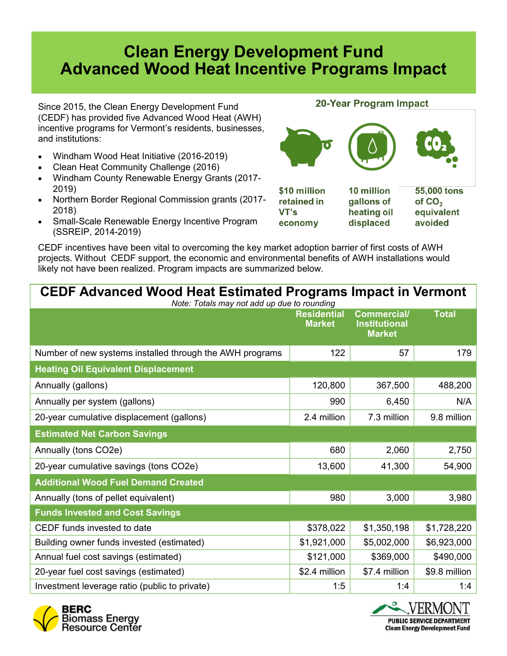## **Clean Energy Development Fund Advanced Wood Heat Incentive Programs Impact**

Since 2015, the Clean Energy Development Fund (CEDF) has provided five Advanced Wood Heat (AWH) incentive programs for Vermont's residents, businesses, and institutions:

- Windham Wood Heat Initiative (2016-2019)
- Clean Heat Community Challenge (2016)
- Windham County Renewable Energy Grants (2017- 2019)
- Northern Border Regional Commission grants (2017- 2018)
- Small-Scale Renewable Energy Incentive Program (SSREIP, 2014-2019)

CEDF incentives have been vital to overcoming the key market adoption barrier of first costs of AWH projects. Without CEDF support, the economic and environmental benefits of AWH installations would likely not have been realized. Program impacts are summarized below.

## **20-Year Program Impact**



| <b>CEDF Advanced Wood Heat Estimated Programs Impact in Vermont</b><br>Note: Totals may not add up due to rounding |                                     |                                                             |               |
|--------------------------------------------------------------------------------------------------------------------|-------------------------------------|-------------------------------------------------------------|---------------|
|                                                                                                                    | <b>Residential</b><br><b>Market</b> | <b>Commercial/</b><br><b>Institutional</b><br><b>Market</b> | <b>Total</b>  |
| Number of new systems installed through the AWH programs                                                           | 122                                 | 57                                                          | 179           |
| <b>Heating Oil Equivalent Displacement</b>                                                                         |                                     |                                                             |               |
| Annually (gallons)                                                                                                 | 120,800                             | 367,500                                                     | 488,200       |
| Annually per system (gallons)                                                                                      | 990                                 | 6,450                                                       | N/A           |
| 20-year cumulative displacement (gallons)                                                                          | 2.4 million                         | 7.3 million                                                 | 9.8 million   |
| <b>Estimated Net Carbon Savings</b>                                                                                |                                     |                                                             |               |
| Annually (tons CO2e)                                                                                               | 680                                 | 2,060                                                       | 2,750         |
| 20-year cumulative savings (tons CO2e)                                                                             | 13,600                              | 41,300                                                      | 54,900        |
| <b>Additional Wood Fuel Demand Created</b>                                                                         |                                     |                                                             |               |
| Annually (tons of pellet equivalent)                                                                               | 980                                 | 3,000                                                       | 3,980         |
| <b>Funds Invested and Cost Savings</b>                                                                             |                                     |                                                             |               |
| CEDF funds invested to date                                                                                        | \$378,022                           | \$1,350,198                                                 | \$1,728,220   |
| Building owner funds invested (estimated)                                                                          | \$1,921,000                         | \$5,002,000                                                 | \$6,923,000   |
| Annual fuel cost savings (estimated)                                                                               | \$121,000                           | \$369,000                                                   | \$490,000     |
| 20-year fuel cost savings (estimated)                                                                              | \$2.4 million                       | \$7.4 million                                               | \$9.8 million |
| Investment leverage ratio (public to private)                                                                      | 1:5                                 | 1:4                                                         | 1:4           |